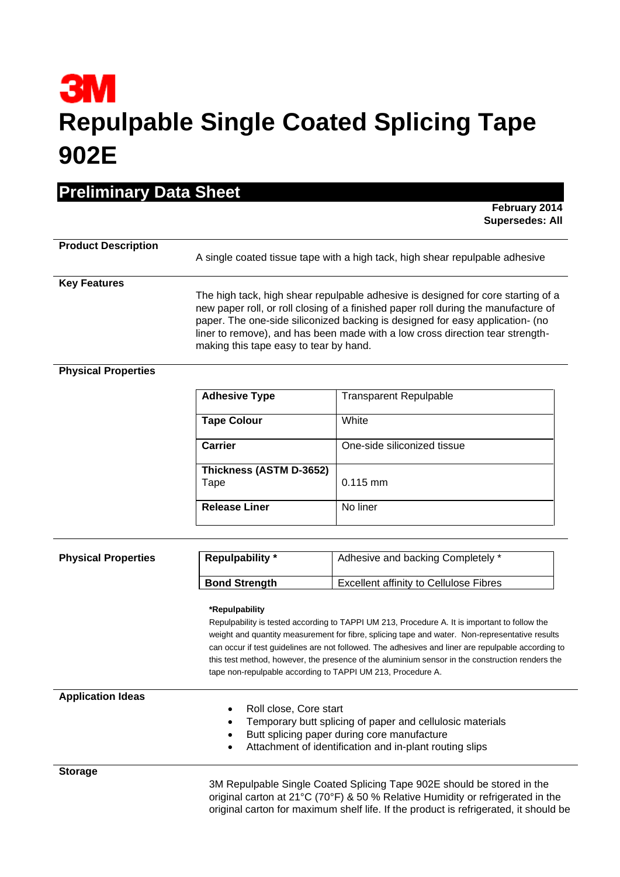# **3M Repulpable Single Coated Splicing Tape 902E**

**February 2014 Supersedes: All**

## **Product Description**

A single coated tissue tape with a high tack, high shear repulpable adhesive

#### **Key Features**

The high tack, high shear repulpable adhesive is designed for core starting of a new paper roll, or roll closing of a finished paper roll during the manufacture of paper. The one-side siliconized backing is designed for easy application- (no liner to remove), and has been made with a low cross direction tear strengthmaking this tape easy to tear by hand.

#### **Physical Properties**

| <b>Adhesive Type</b>            | <b>Transparent Repulpable</b> |
|---------------------------------|-------------------------------|
| <b>Tape Colour</b>              | White                         |
| <b>Carrier</b>                  | One-side siliconized tissue   |
| Thickness (ASTM D-3652)<br>Tape | $0.115$ mm                    |
|                                 |                               |
| <b>Release Liner</b>            | No liner                      |

|  | <b>Physical Properties</b> |
|--|----------------------------|
|--|----------------------------|

| <b>Physical Properties</b> | <b>Repulpability</b> * | Adhesive and backing Completely *             |
|----------------------------|------------------------|-----------------------------------------------|
|                            | <b>Bond Strength</b>   | <b>Excellent affinity to Cellulose Fibres</b> |

#### **\*Repulpability**

Repulpability is tested according to TAPPI UM 213, Procedure A. It is important to follow the weight and quantity measurement for fibre, splicing tape and water. Non-representative results can occur if test guidelines are not followed. The adhesives and liner are repulpable according to this test method, however, the presence of the aluminium sensor in the construction renders the tape non-repulpable according to TAPPI UM 213, Procedure A.

**Application Ideas**

- Roll close, Core start
- Temporary butt splicing of paper and cellulosic materials
- Butt splicing paper during core manufacture
- Attachment of identification and in-plant routing slips

**Storage**

3M Repulpable Single Coated Splicing Tape 902E should be stored in the original carton at 21°C (70°F) & 50 % Relative Humidity or refrigerated in the original carton for maximum shelf life. If the product is refrigerated, it should be